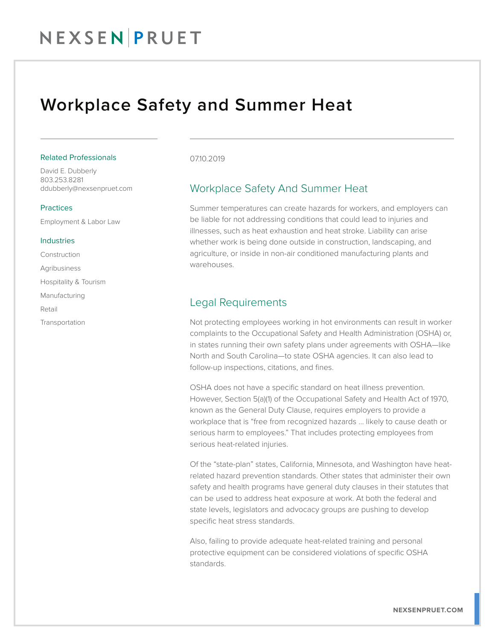## NEXSENPRUET

## Workplace Safety and Summer Heat

#### Related Professionals

David E. Dubberly 803.253.8281 ddubberly@nexsenpruet.com

#### **Practices**

Employment & Labor Law

#### Industries

Construction Agribusiness Hospitality & Tourism Manufacturing

Retail

Transportation

#### 07.10.2019

### Workplace Safety And Summer Heat

Summer temperatures can create hazards for workers, and employers can be liable for not addressing conditions that could lead to injuries and illnesses, such as heat exhaustion and heat stroke. Liability can arise whether work is being done outside in construction, landscaping, and agriculture, or inside in non-air conditioned manufacturing plants and warehouses.

### Legal Requirements

Not protecting employees working in hot environments can result in worker complaints to the Occupational Safety and Health Administration (OSHA) or, in states running their own safety plans under agreements with OSHA—like North and South Carolina—to state OSHA agencies. It can also lead to follow-up inspections, citations, and fines.

OSHA does not have a specific standard on heat illness prevention. However, Section 5(a)(1) of the Occupational Safety and Health Act of 1970, known as the General Duty Clause, requires employers to provide a workplace that is "free from recognized hazards … likely to cause death or serious harm to employees." That includes protecting employees from serious heat-related injuries.

Of the "state-plan" states, California, Minnesota, and Washington have heatrelated hazard prevention standards. Other states that administer their own safety and health programs have general duty clauses in their statutes that can be used to address heat exposure at work. At both the federal and state levels, legislators and advocacy groups are pushing to develop specific heat stress standards.

Also, failing to provide adequate heat-related training and personal protective equipment can be considered violations of specific OSHA standards.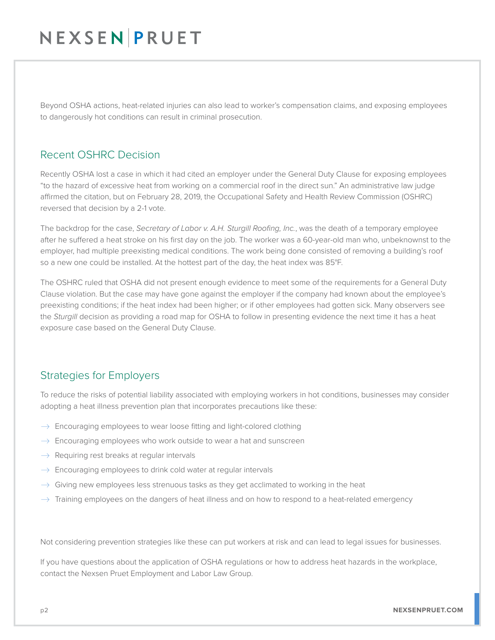## NEXSEN PRUET

Beyond OSHA actions, heat-related injuries can also lead to worker's compensation claims, and exposing employees to dangerously hot conditions can result in criminal prosecution.

### Recent OSHRC Decision

Recently OSHA lost a case in which it had cited an employer under the General Duty Clause for exposing employees "to the hazard of excessive heat from working on a commercial roof in the direct sun." An administrative law judge affirmed the citation, but on February 28, 2019, the Occupational Safety and Health Review Commission (OSHRC) reversed that decision by a 2-1 vote.

The backdrop for the case, *Secretary of Labor v. A.H. Sturgill Roofing, Inc.*, was the death of a temporary employee after he suffered a heat stroke on his first day on the job. The worker was a 60-year-old man who, unbeknownst to the employer, had multiple preexisting medical conditions. The work being done consisted of removing a building's roof so a new one could be installed. At the hottest part of the day, the heat index was 85°F.

The OSHRC ruled that OSHA did not present enough evidence to meet some of the requirements for a General Duty Clause violation. But the case may have gone against the employer if the company had known about the employee's preexisting conditions; if the heat index had been higher; or if other employees had gotten sick. Many observers see the *Sturgill* decision as providing a road map for OSHA to follow in presenting evidence the next time it has a heat exposure case based on the General Duty Clause.

## Strategies for Employers

To reduce the risks of potential liability associated with employing workers in hot conditions, businesses may consider adopting a heat illness prevention plan that incorporates precautions like these:

- $\rightarrow$  Encouraging employees to wear loose fitting and light-colored clothing
- $\rightarrow$  Encouraging employees who work outside to wear a hat and sunscreen
- $\rightarrow$  Requiring rest breaks at regular intervals
- $\rightarrow$  Encouraging employees to drink cold water at regular intervals
- $\rightarrow$  Giving new employees less strenuous tasks as they get acclimated to working in the heat
- $\rightarrow$  Training employees on the dangers of heat illness and on how to respond to a heat-related emergency

Not considering prevention strategies like these can put workers at risk and can lead to legal issues for businesses.

If you have questions about the application of OSHA regulations or how to address heat hazards in the workplace, contact the Nexsen Pruet Employment and Labor Law Group.